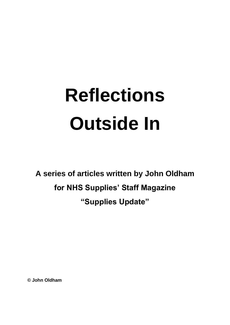# **Reflections Outside In**

**A series of articles written by John Oldham for NHS Supplies' Staff Magazine "Supplies Update"**

**© John Oldham**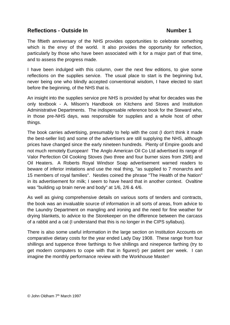The fiftieth anniversary of the NHS provides opportunities to celebrate something which is the envy of the world. It also provides the opportunity for reflection, particularly by those who have been associated with it for a major part of that time, and to assess the progress made.

I have been indulged with this column, over the next few editions, to give some reflections on the supplies service. The usual place to start is the beginning but, never being one who blindly accepted conventional wisdom, I have elected to start before the beginning, of the NHS that is.

An insight into the supplies service pre NHS is provided by what for decades was the only textbook - A. Milsom's Handbook on Kitchens and Stores and Institution Administrative Departments. The indispensable reference book for the Steward who, in those pre-NHS days, was responsible for supplies and a whole host of other things.

The book carries advertising, presumably to help with the cost (I don't think it made the best-seller list) and some of the advertisers are still supplying the NHS, although prices have changed since the early nineteen hundreds. Plenty of Empire goods and not much remotely European! The Anglo American Oil Co Ltd advertised its range of Valor Perfection Oil Cooking Stoves (two three and four burner sizes from 29/6) and Oil Heaters. A Roberts Royal Windsor Soap advertisement warned readers to beware of inferior imitations and use the real thing, "as supplied to 7 monarchs and 15 members of royal families". Nestles coined the phrase "The Health of the Nation" in its advertisement for milk; I seem to have heard that in another context. Ovaltine was "building up brain nerve and body" at 1/6, 2/6 & 4/6.

As well as giving comprehensive details on various sorts of tenders and contracts, the book was an invaluable source of information in all sorts of areas, from advice to the Laundry Department on mangling and ironing and the need for fine weather for drying blankets, to advice to the Storekeeper on the difference between the carcass of a rabbit and a cat (I understand that this is no longer in the CIPS syllabus).

There is also some useful information in the large section on Institution Accounts on comparative dietary costs for the year ended Lady Day 1908. These range from four shillings and tuppence three farthings to five shillings and ninepence farthing (try to get modern computers to cope with that in figures!) per patient per week. I can imagine the monthly performance review with the Workhouse Master!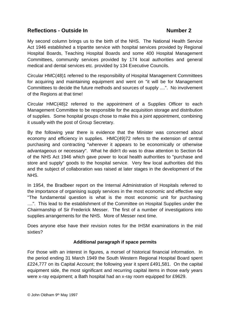My second column brings us to the birth of the NHS. The National Health Service Act 1946 established a tripartite service with hospital services provided by Regional Hospital Boards, Teaching Hospital Boards and some 400 Hospital Management Committees, community services provided by 174 local authorities and general medical and dental services etc. provided by 134 Executive Councils.

Circular HMC(48)1 referred to the responsibility of Hospital Management Committees for acquiring and maintaining equipment and went on "it will be for Management Committees to decide the future methods and sources of supply ....". No involvement of the Regions at that time!

Circular HMC(48)2 referred to the appointment of a Supplies Officer to each Management Committee to be responsible for the acquisition storage and distribution of supplies. Some hospital groups chose to make this a joint appointment, combining it usually with the post of Group Secretary.

By the following year there is evidence that the Minister was concerned about economy and efficiency in supplies. HMC(49)72 refers to the extension of central purchasing and contracting "wherever it appears to be economically or otherwise advantageous or necessary". What he didn't do was to draw attention to Section 64 of the NHS Act 1946 which gave power to local health authorities to "purchase and store and supply" goods to the hospital service. Very few local authorities did this and the subject of collaboration was raised at later stages in the development of the NHS.

In 1954, the Bradbeer report on the Internal Administration of Hospitals referred to the importance of organising supply services in the most economic and effective way "The fundamental question is what is the most economic unit for purchasing ....". This lead to the establishment of the Committee on Hospital Supplies under the Chairmanship of Sir Frederick Messer. The first of a number of investigations into supplies arrangements for the NHS. More of Messer next time.

Does anyone else have their revision notes for the IHSM examinations in the mid sixties?

# **Additional paragraph if space permits**

For those with an interest in figures, a morsel of historical financial information. In the period ending 31 March 1949 the South Western Regional Hospital Board spent £224,777 on its Capital Account; the following year it spent £491,581. On the capital equipment side, the most significant and recurring capital items in those early years were x-ray equipment; a Bath hospital had an x-ray room equipped for £9629.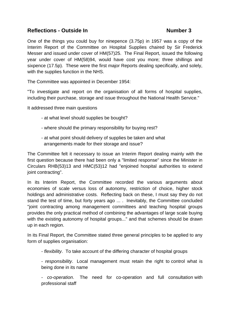One of the things you could buy for ninepence (3.75p) in 1957 was a copy of the Interim Report of the Committee on Hospital Supplies chaired by Sir Frederick Messer and issued under cover of HM(57)25. The Final Report, issued the following year under cover of HM(58)94, would have cost you more; three shillings and sixpence (17.5p). These were the first major Reports dealing specifically, and solely, with the supplies function in the NHS.

The Committee was appointed in December 1954:

"To investigate and report on the organisation of all forms of hospital supplies, including their purchase, storage and issue throughout the National Health Service."

It addressed three main questions

- at what level should supplies be bought?
- where should the primary responsibility for buying rest?
- at what point should delivery of supplies be taken and what arrangements made for their storage and issue?

The Committee felt it necessary to issue an Interim Report dealing mainly with the first question because there had been only a "limited response" since the Minister in Circulars RHB(53)13 and HMC(53)12 had "enjoined hospital authorities to extend joint contracting".

In its Interim Report, the Committee recorded the various arguments about economies of scale versus loss of autonomy, restriction of choice, higher stock holdings and administrative costs. Reflecting back on these, I must say they do not stand the test of time, but forty years ago ... . Inevitably, the Committee concluded "joint contracting among management committees and teaching hospital groups provides the only practical method of combining the advantages of large scale buying with the existing autonomy of hospital groups..." and that schemes should be drawn up in each region.

In its Final Report, the Committee stated three general principles to be applied to any form of supplies organisation:

- *flexibility*. To take account of the differing character of hospital groups

- *responsibility*. Local management must retain the right to control what is being done in its name

- *co-operation*. The need for co-operation and full consultation with professional staff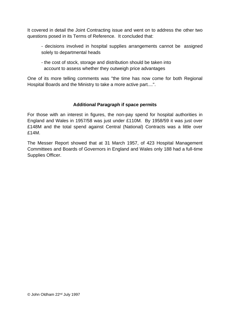It covered in detail the Joint Contracting issue and went on to address the other two questions posed in its Terms of Reference. It concluded that:

- decisions involved in hospital supplies arrangements cannot be assigned solely to departmental heads
- the cost of stock, storage and distribution should be taken into account to assess whether they outweigh price advantages

One of its more telling comments was "the time has now come for both Regional Hospital Boards and the Ministry to take a more active part....".

# **Additional Paragraph if space permits**

For those with an interest in figures, the non-pay spend for hospital authorities in England and Wales in 1957/58 was just under £110M. By 1958/59 it was just over £148M and the total spend against Central (National) Contracts was a little over £14M.

The Messer Report showed that at 31 March 1957, of 423 Hospital Management Committees and Boards of Governors in England and Wales only 188 had a full-time Supplies Officer.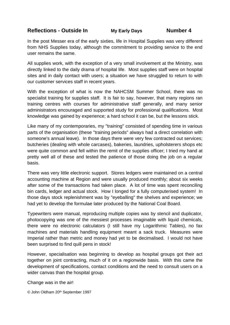# **Reflections - Outside In My Early Days Number 4**

In the post Messer era of the early sixties, life in Hospital Supplies was very different from NHS Supplies today, although the commitment to providing service to the end user remains the same.

All supplies work, with the exception of a very small involvement at the Ministry, was directly linked to the daily drama of hospital life. Most supplies staff were on hospital sites and in daily contact with users; a situation we have struggled to return to with our customer services staff in recent years.

With the exception of what is now the NAHCSM Summer School, there was no specialist training for supplies staff. It is fair to say, however, that many regions ran training centres with courses for administrative staff generally, and many senior administrators encouraged and supported study for professional qualifications. Most knowledge was gained by experience; a hard school it can be, but the lessons stick.

Like many of my contemporaries, my "training" consisted of spending time in various parts of the organisation (these "training periods" always had a direct correlation with someone's annual leave). In those days there were very few contracted out services; butcheries (dealing with whole carcases), bakeries, laundries, upholsterers shops etc were quite common and fell within the remit of the supplies officer; I tried my hand at pretty well all of these and tested the patience of those doing the job on a regular basis.

There was very little electronic support. Stores ledgers were maintained on a central accounting machine at Region and were usually produced monthly; about six weeks after some of the transactions had taken place. A lot of time was spent reconciling bin cards, ledger and actual stock. How I longed for a fully computerised system! In those days stock replenishment was by "eyeballing" the shelves and experience; we had yet to develop the formulae later produced by the National Coal Board.

Typewriters were manual, reproducing multiple copies was by stencil and duplicator, photocopying was one of the messiest processes imaginable with liquid chemicals, there were no electronic calculators (I still have my Logarithmic Tables), no fax machines and materials handling equipment meant a sack truck. Measures were Imperial rather than metric and money had yet to be decimalised. I would not have been surprised to find quill pens in stock!

However, specialisation was beginning to develop as hospital groups got their act together on joint contracting, much of it on a regionwide basis. With this came the development of specifications, contact conditions and the need to consult users on a wider canvas than the hospital group.

Change was in the air!

© John Oldham 20th September 1997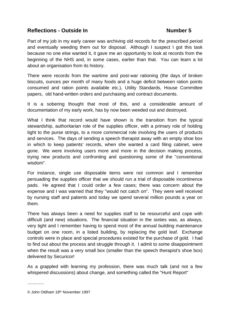Part of my job in my early career was archiving old records for the prescribed period and eventually weeding them out for disposal. Although I suspect I got this task because no one else wanted it, it gave me an opportunity to look at records from the beginning of the NHS and, in some cases, earlier than that. You can learn a lot about an organisation from its history.

There were records from the wartime and post-war rationing (the days of broken biscuits, ounces per month of many foods and a huge deficit between ration points consumed and ration points available etc.), Utility Standards, House Committee papers, old hand-written orders and purchasing and contract documents.

It is a sobering thought that most of this, and a considerable amount of documentation of my early work, has by now been weeded out and destroyed.

What I think that record would have shown is the transition from the typical stewardship, authoritarian role of the supplies officer, with a primary role of holding tight to the purse strings, to a more commercial role involving the users of products and services. The days of sending a speech therapist away with an empty shoe box in which to keep patients' records, when she wanted a card filing cabinet, were gone. We were involving users more and more in the decision making process, trying new products and confronting and questioning some of the "conventional wisdom".

For instance, single use disposable items were not common and I remember persuading the supplies officer that we should run a trial of disposable incontinence pads. He agreed that I could order a few cases; there was concern about the expense and I was warned that they "would not catch on". They were well received by nursing staff and patients and today we spend several million pounds a year on them.

There has always been a need for supplies staff to be resourceful and cope with difficult (and new) situations. The financial situation in the sixties was, as always, very tight and I remember having to spend most of the annual building maintenance budget on one room, in a listed building, by replacing the gold leaf. Exchange controls were in place and special procedures existed for the purchase of gold. I had to find out about the process and struggle through it. I admit to some disappointment when the result was a very small box (smaller than the speech therapist's shoe box) delivered by Securicor!

As a grappled with learning my profession, there was much talk (and not a few whispered discussions) about change, and something called the "Hunt Report"

.............

© John Oldham 18th November 1997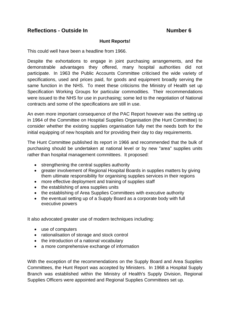# **Hunt Reports!**

This could well have been a headline from 1966.

Despite the exhortations to engage in joint purchasing arrangements, and the demonstrable advantages they offered, many hospital authorities did not participate. In 1963 the Public Accounts Committee criticised the wide variety of specifications, used and prices paid, for goods and equipment broadly serving the same function in the NHS. To meet these criticisms the Ministry of Health set up Specification Working Groups for particular commodities. Their recommendations were issued to the NHS for use in purchasing; some led to the negotiation of National contracts and some of the specifications are still in use.

An even more important consequence of the PAC Report however was the setting up in 1964 of the Committee on Hospital Supplies Organisation (the Hunt Committee) to consider whether the existing supplies organisation fully met the needs both for the initial equipping of new hospitals and for providing their day to day requirements.

The Hunt Committee published its report in 1966 and recommended that the bulk of purchasing should be undertaken at national level or by new "area" supplies units rather than hospital management committees. It proposed:

- strengthening the central supplies authority
- greater involvement of Regional Hospital Boards in supplies matters by giving them ultimate responsibility for organising supplies services in their regions
- more effective deployment and training of supplies staff
- the establishing of area supplies units
- the establishing of Area Supplies Committees with executive authority
- the eventual setting up of a Supply Board as a corporate body with full executive powers

It also advocated greater use of modern techniques including:

- use of computers
- rationalisation of storage and stock control
- the introduction of a national vocabulary
- a more comprehensive exchange of information

With the exception of the recommendations on the Supply Board and Area Supplies Committees, the Hunt Report was accepted by Ministers. In 1968 a Hospital Supply Branch was established within the Ministry of Health's Supply Division, Regional Supplies Officers were appointed and Regional Supplies Committees set up.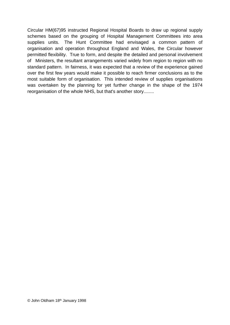Circular HM(67)95 instructed Regional Hospital Boards to draw up regional supply schemes based on the grouping of Hospital Management Committees into area supplies units. The Hunt Committee had envisaged a common pattern of organisation and operation throughout England and Wales, the Circular however permitted flexibility. True to form, and despite the detailed and personal involvement of Ministers, the resultant arrangements varied widely from region to region with no standard pattern. In fairness, it was expected that a review of the experience gained over the first few years would make it possible to reach firmer conclusions as to the most suitable form of organisation. This intended review of supplies organisations was overtaken by the planning for yet further change in the shape of the 1974 reorganisation of the whole NHS, but that's another story........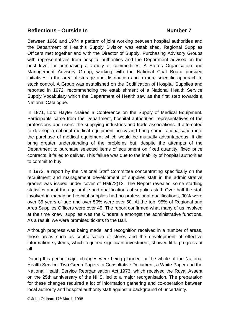Between 1968 and 1974 a pattern of joint working between hospital authorities and the Department of Health's Supply Division was established. Regional Supplies Officers met together and with the Director of Supply. Purchasing Advisory Groups with representatives from hospital authorities and the Department advised on the best level for purchasing a variety of commodities. A Stores Organisation and Management Advisory Group, working with the National Coal Board pursued initiatives in the area of storage and distribution and a more scientific approach to stock control. A Group was established on the Codification of Hospital Supplies and reported in 1972, recommending the establishment of a National Health Service Supply Vocabulary which the Department of Health saw as the first step towards a National Catalogue.

In 1971, Lord Hayter chaired a Conference on the Supply of Medical Equipment. Participants came from the Department, hospital authorities, representatives of the professions and users, the supplying industries and trade associations. It attempted to develop a national medical equipment policy and bring some rationalisation into the purchase of medical equipment which would be mutually advantageous. It did bring greater understanding of the problems but, despite the attempts of the Department to purchase selected items of equipment on fixed quantity, fixed price contracts, it failed to deliver. This failure was due to the inability of hospital authorities to commit to buy.

In 1972, a report by the National Staff Committee concentrating specifically on the recruitment and management development of supplies staff in the administrative grades was issued under cover of HM(72)12. The Report revealed some startling statistics about the age profile and qualifications of supplies staff. Over half the staff involved in managing hospital supplies had no professional qualifications, 90% were over 35 years of age and over 50% were over 50. At the top, 95% of Regional and Area Supplies Officers were over 45. The report confirmed what many of us involved at the time knew, supplies was the Cinderella amongst the administrative functions. As a result, we were promised tickets to the Ball.

Although progress was being made, and recognition received in a number of areas, those areas such as centralisation of stores and the development of effective information systems, which required significant investment, showed little progress at all.

During this period major changes were being planned for the whole of the National Health Service. Two Green Papers, a Consultative Document, a White Paper and the National Health Service Reorganisation Act 1973, which received the Royal Assent on the 25th anniversary of the NHS, led to a major reorganisation. The preparation for these changes required a lot of information gathering and co-operation between local authority and hospital authority staff against a background of uncertainty.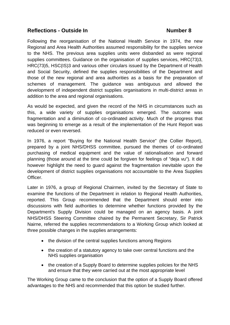Following the reorganisation of the National Health Service in 1974, the new Regional and Area Health Authorities assumed responsibility for the supplies service to the NHS. The previous area supplies units were disbanded as were regional supplies committees. Guidance on the organisation of supplies services, HRC(73)3, HRC(73)5, HSC(IS)3 and various other circulars issued by the Department of Health and Social Security, defined the supplies responsibilities of the Department and those of the new regional and area authorities as a basis for the preparation of schemes of management. The guidance was ambiguous and allowed the development of independent district supplies organisations in multi-district areas in addition to the area and regional organisations.

As would be expected, and given the record of the NHS in circumstances such as this, a wide variety of supplies organisations emerged. The outcome was fragmentation and a diminution of co-ordinated activity. Much of the progress that was beginning to emerge as a result of the implementation of the Hunt Report was reduced or even reversed.

In 1976, a report "Buying for the National Health Service" (the Collier Report), prepared by a joint NHS/DHSS committee, pursued the themes of co-ordinated purchasing of medical equipment and the value of rationalisation and forward planning (those around at the time could be forgiven for feelings of "deja vu"). It did however highlight the need to guard against the fragmentation inevitable upon the development of district supplies organisations not accountable to the Area Supplies Officer.

Later in 1976, a group of Regional Chairmen, invited by the Secretary of State to examine the functions of the Department in relation to Regional Health Authorities, reported. This Group recommended that the Department should enter into discussions with field authorities to determine whether functions provided by the Department's Supply Division could be managed on an agency basis. A joint NHS/DHSS Steering Committee chaired by the Permanent Secretary, Sir Patrick Nairne, referred the supplies recommendations to a Working Group which looked at three possible changes in the supplies arrangements:

- the division of the central supplies functions among Regions
- the creation of a statutory agency to take over central functions and the NHS supplies organisation
- the creation of a Supply Board to determine supplies policies for the NHS and ensure that they were carried out at the most appropriate level

The Working Group came to the conclusion that the option of a Supply Board offered advantages to the NHS and recommended that this option be studied further.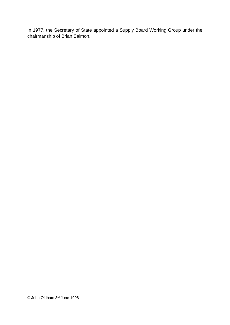In 1977, the Secretary of State appointed a Supply Board Working Group under the chairmanship of Brian Salmon.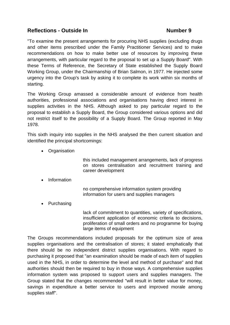"To examine the present arrangements for procuring NHS supplies (excluding drugs and other items prescribed under the Family Practitioner Services) and to make recommendations on how to make better use of resources by improving these arrangements, with particular regard to the proposal to set up a Supply Board". With these Terms of Reference, the Secretary of State established the Supply Board Working Group, under the Chairmanship of Brian Salmon, in 1977. He injected some urgency into the Group's task by asking it to complete its work within six months of starting.

The Working Group amassed a considerable amount of evidence from health authorities, professional associations and organisations having direct interest in supplies activities in the NHS. Although asked to pay particular regard to the proposal to establish a Supply Board, the Group considered various options and did not restrict itself to the possibility of a Supply Board. The Group reported in May 1978.

This sixth inquiry into supplies in the NHS analysed the then current situation and identified the principal shortcomings:

• Organisation

this included management arrangements, lack of progress on stores centralisation and recruitment training and career development

• Information

no comprehensive information system providing information for users and supplies managers

• Purchasing

lack of commitment to quantities, variety of specifications, insufficient application of economic criteria to decisions, proliferation of small orders and no programme for buying large items of equipment

The Groups recommendations included proposals for the optimum size of area supplies organisations and the centralisation of stores; it stated emphatically that there should be no independent district supplies organisations. With regard to purchasing it proposed that "an examination should be made of each item of supplies used in the NHS, in order to determine the level and method of purchase" and that authorities should then be required to buy in those ways. A comprehensive supplies information system was proposed to support users and supplies managers. The Group stated that the changes recommended "will result in better value for money, savings in expenditure a better service to users and improved morale among supplies staff".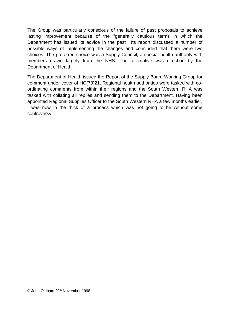The Group was particularly conscious of the failure of past proposals to achieve lasting improvement because of the "generally cautious terms in which the Department has issued its advice in the past". Its report discussed a number of possible ways of implementing the changes and concluded that there were two choices. The preferred choice was a Supply Council, a special health authority with members drawn largely from the NHS. The alternative was direction by the Department of Health.

The Department of Health issued the Report of the Supply Board Working Group for comment under cover of HC(78)21. Regional health authorities were tasked with coordinating comments from within their regions and the South Western RHA was tasked with collating all replies and sending them to the Department. Having been appointed Regional Supplies Officer to the South Western RHA a few months earlier, I was now in the thick of a process which was not going to be without some controversy!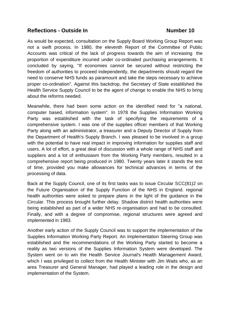As would be expected, consultation on the Supply Board Working Group Report was not a swift process. In 1980, the eleventh Report of the Committee of Public Accounts was critical of the lack of progress towards the aim of increasing the proportion of expenditure incurred under co-ordinated purchasing arrangements. It concluded by saying, "If economies cannot be secured without restricting the freedom of authorities to proceed independently, the departments should regard the need to conserve NHS funds as paramount and take the steps necessary to achieve proper co-ordination". Against this backdrop, the Secretary of State established the Health Service Supply Council to be the agent of change to enable the NHS to bring about the reforms needed.

Meanwhile, there had been some action on the identified need for "a national, computer based, information system". In 1978 the Supplies Information Working Party was established with the task of specifying the requirements of a comprehensive system. I was one of the supplies officer members of that Working Party along with an administrator, a treasurer and a Deputy Director of Supply from the Department of Health's Supply Branch. I was pleased to be involved in a group with the potential to have real impact in improving information for supplies staff and users. A lot of effort, a great deal of discussion with a whole range of NHS staff and suppliers and a lot of enthusiasm from the Working Party members, resulted in a comprehensive report being produced in 1980. Twenty years later it stands the test of time, provided you make allowances for technical advances in terms of the processing of data.

Back at the Supply Council, one of its first tasks was to issue Circular SCC(81)2 on the Future Organisation of the Supply Function of the NHS in England. regional health authorities were asked to prepare plans in the light of the guidance in the Circular. This process brought further delay. Shadow district health authorities were being established as part of a wider NHS re-organisation and had to be consulted. Finally, and with a degree of compromise, regional structures were agreed and implemented in 1983.

Another early action of the Supply Council was to support the implementation of the Supplies Information Working Party Report. An Implementation Steering Group was established and the recommendations of the Working Party started to become a reality as two versions of the Supplies Information System were developed. The System went on to win the Health Service Journal's Health Management Award, which I was privileged to collect from the Health Minister with Jim Waits who, as an area Treasurer and General Manager, had played a leading role in the design and implementation of the System.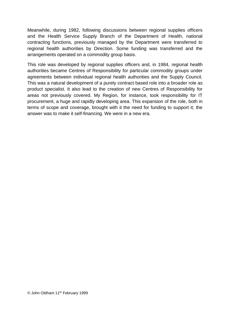Meanwhile, during 1982, following discussions between regional supplies officers and the Health Service Supply Branch of the Department of Health, national contracting functions, previously managed by the Department were transferred to regional health authorities by Direction. Some funding was transferred and the arrangements operated on a commodity group basis.

This role was developed by regional supplies officers and, in 1984, regional health authorities became Centres of Responsibility for particular commodity groups under agreements between individual regional health authorities and the Supply Council. This was a natural development of a purely contract based role into a broader role as product specialist. It also lead to the creation of new Centres of Responsibility for areas not previously covered. My Region, for instance, took responsibility for IT procurement, a huge and rapidly developing area. This expansion of the role, both in terms of scope and coverage, brought with it the need for funding to support it; the answer was to make it self-financing. We were in a new era.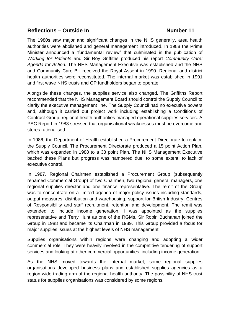The 1980s saw major and significant changes in the NHS generally, area health authorities were abolished and general management introduced. In 1988 the Prime Minister announced a "fundamental review" that culminated in the publication of *Working for Patients* and Sir Roy Griffiths produced his report *Community Care: Agenda for Action.* The NHS Management Executive was established and the NHS and Community Care Bill received the Royal Assent in 1990. Regional and district health authorities were reconstituted. The internal market was established in 1991 and first wave NHS trusts and GP fundholders began to operate.

Alongside these changes, the supplies service also changed. The Griffiths Report recommended that the NHS Management Board should control the Supply Council to clarify the executive management line. The Supply Council had no executive powers and, although it carried out project work including establishing a Conditions of Contract Group, regional health authorities managed operational supplies services. A PAC Report in 1983 stressed that organisational weaknesses must be overcome and stores rationalised.

In 1986, the Department of Health established a Procurement Directorate to replace the Supply Council. The Procurement Directorate produced a 15 point Action Plan, which was expanded in 1988 to a 38 point Plan. The NHS Management Executive backed these Plans but progress was hampered due, to some extent, to lack of executive control.

In 1987, Regional Chairmen established a Procurement Group (subsequently renamed Commercial Group) of two Chairmen, two regional general managers, one regional supplies director and one finance representative. The remit of the Group was to concentrate on a limited agenda of major policy issues including standards, output measures, distribution and warehousing, support for British Industry, Centres of Responsibility and staff recruitment, retention and development. The remit was extended to include income generation. I was appointed as the supplies representative and Terry Hunt as one of the RGMs. Sir Robin Buchanan joined the Group in 1988 and became its Chairman in 1989. This Group provided a focus for major supplies issues at the highest levels of NHS management.

Supplies organisations within regions were changing and adopting a wider commercial role. They were heavily involved in the competitive tendering of support services and looking at other commercial opportunities, including income generation.

As the NHS moved towards the internal market, some regional supplies organisations developed business plans and established supplies agencies as a region wide trading arm of the regional health authority. The possibility of NHS trust status for supplies organisations was considered by some regions.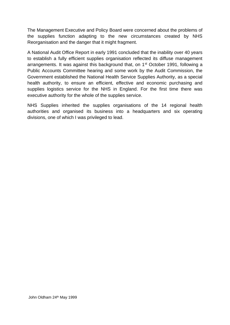The Management Executive and Policy Board were concerned about the problems of the supplies function adapting to the new circumstances created by NHS Reorganisation and the danger that it might fragment.

A National Audit Office Report in early 1991 concluded that the inability over 40 years to establish a fully efficient supplies organisation reflected its diffuse management arrangements. It was against this background that, on 1<sup>st</sup> October 1991, following a Public Accounts Committee hearing and some work by the Audit Commission, the Government established the National Health Service Supplies Authority, as a special health authority, to ensure an efficient, effective and economic purchasing and supplies logistics service for the NHS in England. For the first time there was executive authority for the whole of the supplies service.

NHS Supplies inherited the supplies organisations of the 14 regional health authorities and organised its business into a headquarters and six operating divisions, one of which I was privileged to lead.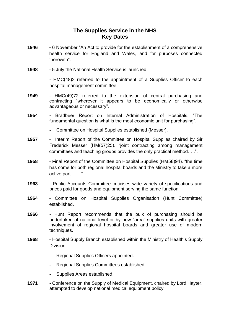# **The Supplies Service in the NHS Key Dates**

- **1946 -** 6 November "An Act to provide for the establishment of a comprehensive health service for England and Wales, and for purposes connected therewith".
- **1948** 5 July the National Health Service is launched.

- HMC(48)2 referred to the appointment of a Supplies Officer to each hospital management committee.

- **1949** HMC(49)72 referred to the extension of central purchasing and contracting "wherever it appears to be economically or otherwise advantageous or necessary".
- **1954 -** Bradbeer Report on Internal Administration of Hospitals. "The fundamental question is what is the most economic unit for purchasing".
	- **-** Committee on Hospital Supplies established (Messer).
- **1957** Interim Report of the Committee on Hospital Supplies chaired by Sir Frederick Messer (HM(57)25). "joint contracting among management committees and teaching groups provides the only practical method…..".
- **1958** Final Report of the Committee on Hospital Supplies (HM58)94). "the time has come for both regional hospital boards and the Ministry to take a more active part…….".
- **1963** Public Accounts Committee criticises wide variety of specifications and prices paid for goods and equipment serving the same function.
- **1964** Committee on Hospital Supplies Organisation (Hunt Committee) established.
- **1966** Hunt Report recommends that the bulk of purchasing should be undertaken at national level or by new "area" supplies units with greater involvement of regional hospital boards and greater use of modern techniques.
- **1968** Hospital Supply Branch established within the Ministry of Health's Supply **Division** 
	- **-** Regional Supplies Officers appointed.
	- **-** Regional Supplies Committees established.
	- **-** Supplies Areas established.
- **1971** Conference on the Supply of Medical Equipment, chaired by Lord Hayter, attempted to develop national medical equipment policy.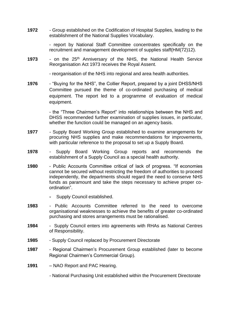**1972** - Group established on the Codification of Hospital Supplies, leading to the establishment of the National Supplies Vocabulary.

> - report by National Staff Committee concentrates specifically on the recruitment and management development of supplies staff(HM(72)12).

- **1973** on the 25<sup>th</sup> Anniversary of the NHS, the National Health Service Reorganisation Act 1973 receives the Royal Assent.
	- reorganisation of the NHS into regional and area health authorities.
- **1976** "Buying for the NHS", the Collier Report, prepared by a joint DHSS/NHS Committee pursued the theme of co-ordinated purchasing of medical equipment. The report led to a programme of evaluation of medical equipment.

- the "Three Chairmen's Report" into relationships between the NHS and DHSS recommended further examination of supplies issues, in particular, whether the function could be managed on an agency basis.

- **1977** Supply Board Working Group established to examine arrangements for procuring NHS supplies and make recommendations for improvements, with particular reference to the proposal to set up a Supply Board.
- **1978** Supply Board Working Group reports and recommends the establishment of a Supply Council as a special health authority.
- **1980** Public Accounts Committee critical of lack of progress. "If economies cannot be secured without restricting the freedom of authorities to proceed independently, the departments should regard the need to conserve NHS funds as paramount and take the steps necessary to achieve proper coordination".
	- **-** Supply Council established.
- **1983** Public Accounts Committee referred to the need to overcome organisational weaknesses to achieve the benefits of greater co-ordinated purchasing and stores arrangements must be rationalised.
- **1984** Supply Council enters into agreements with RHAs as National Centres of Responsibility.
- **1985** Supply Council replaced by Procurement Directorate
- **1987** Regional Chairmen's Procurement Group established (later to become Regional Chairmen's Commercial Group).
- **1991** NAO Report and PAC Hearing.
	- National Purchasing Unit established within the Procurement Directorate